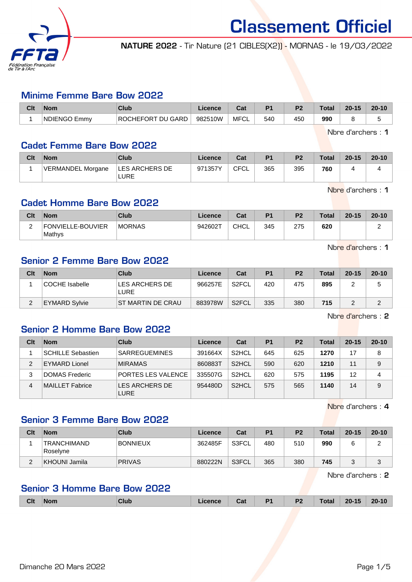

NATURE 2022 - Tir Nature (21 CIBLES(X2)) - MORNAS - le 19/03/2022

#### Minime Femme Bare Bow 2022

| Clt | Nom                       | Club                     | Licence | <b>Take</b><br>uai | D <sub>4</sub> | D <sub>2</sub> | Total | $20 - 15$ | $20 - 10$ |
|-----|---------------------------|--------------------------|---------|--------------------|----------------|----------------|-------|-----------|-----------|
|     | <b>INDIENGO E</b><br>Emmy | <b>ROCHEFORT DU GARD</b> | 982510W | MFCL               | 540            | 450            | 990   |           |           |

Nbre d'archers : 1

#### Cadet Femme Bare Bow 2022

| Clt | <b>Nom</b>               | Club                          | Licence | Cat         | P <sub>1</sub> | P <sub>2</sub> | <b>Total</b> | $20 - 15$ | $20 - 10$ |
|-----|--------------------------|-------------------------------|---------|-------------|----------------|----------------|--------------|-----------|-----------|
|     | <b>VERMANDEL Morgane</b> | <b>LES ARCHERS DE</b><br>LURE | 971357Y | <b>CFCL</b> | 365            | 395            | 760          |           |           |

Nbre d'archers : 1

#### Cadet Homme Bare Bow 2022

| Clt | <b>Nom</b>                  | <b>Club</b>   | Licence | Cat         | D <sub>1</sub> | P <sub>2</sub> | <b>Total</b> | $20 - 15$ | $20 - 10$ |
|-----|-----------------------------|---------------|---------|-------------|----------------|----------------|--------------|-----------|-----------|
| ⌒   | FONVIELLE-BOUVIER<br>Mathys | <b>MORNAS</b> | 942602T | <b>CHCL</b> | 345            | 275            | 620          |           |           |

Nbre d'archers : 1

### Senior 2 Femme Bare Bow 2022

| Clt | <b>Nom</b>           | Club                          | Licence | Cat                | P <sub>1</sub> | P <sub>2</sub> | <b>Total</b> | $20 - 15$ | $20 - 10$ |
|-----|----------------------|-------------------------------|---------|--------------------|----------------|----------------|--------------|-----------|-----------|
|     | COCHE Isabelle       | LES ARCHERS DE<br><b>LURE</b> | 966257E | S <sub>2</sub> FCL | 420            | 475            | 895          |           |           |
|     | <b>EYMARD Sylvie</b> | ST MARTIN DE CRAU             | 883978W | S <sub>2</sub> FCL | 335            | 380            | 715          |           |           |

Nbre d'archers : 2

#### Senior 2 Homme Bare Bow 2022

| Clt | <b>Nom</b>               | <b>Club</b>                   | Licence | Cat                | P <sub>1</sub> | P <sub>2</sub> | <b>Total</b> | $20 - 15$ | $20 - 10$ |
|-----|--------------------------|-------------------------------|---------|--------------------|----------------|----------------|--------------|-----------|-----------|
|     | <b>SCHILLE Sebastien</b> | <b>SARREGUEMINES</b>          | 391664X | S <sub>2</sub> HCL | 645            | 625            | 1270         |           | 8         |
| 2   | <b>EYMARD Lionel</b>     | <b>MIRAMAS</b>                | 860883T | S <sub>2</sub> HCL | 590            | 620            | 1210         | 11        | 9         |
|     | DOMAS Frederic           | PORTES LES VALENCE            | 335507G | S <sub>2</sub> HCL | 620            | 575            | 1195         | 12        | 4         |
| 4   | MAILLET Fabrice          | LES ARCHERS DE<br><b>LURE</b> | 954480D | S <sub>2</sub> HCL | 575            | 565            | 1140         | 14        | 9         |

Nbre d'archers : 4

#### Senior 3 Femme Bare Bow 2022

| Clt | <b>Nom</b>               | Club            | Licence | Cat   | P <sub>1</sub> | P <sub>2</sub> | <b>Total</b> | $20 - 15$ | $20 - 10$ |
|-----|--------------------------|-----------------|---------|-------|----------------|----------------|--------------|-----------|-----------|
|     | 'TRANCHIMAND<br>Roselyne | <b>BONNIEUX</b> | 362485F | S3FCL | 480            | 510            | 990          |           |           |
|     | KHOUNI Jamila            | <b>PRIVAS</b>   | 880222N | S3FCL | 365            | 380            | 745          | ີ         | J         |

Nbre d'archers : 2

# Senior 3 Homme Bare Bow 2022

| <b>Clt</b><br>P <sub>1</sub><br>P <sub>2</sub><br>$20 - 15$<br><b>Total</b><br>$20 - 10$<br><b>Nom</b><br>Club<br>licence<br><b>Table</b><br>vaı |
|--------------------------------------------------------------------------------------------------------------------------------------------------|
|--------------------------------------------------------------------------------------------------------------------------------------------------|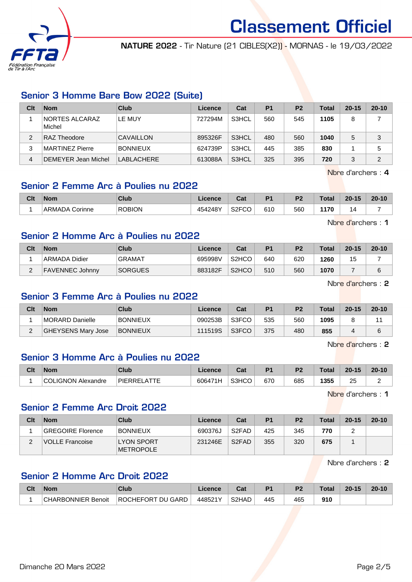

NATURE 2022 - Tir Nature (21 CIBLES(X2)) - MORNAS - le 19/03/2022

# Senior 3 Homme Bare Bow 2022 (Suite)

| Clt | <b>Nom</b>                      | Club            | Licence | Cat   | P <sub>1</sub> | P <sub>2</sub> | <b>Total</b> | $20 - 15$ | $20 - 10$ |
|-----|---------------------------------|-----------------|---------|-------|----------------|----------------|--------------|-----------|-----------|
|     | <b>NORTES ALCARAZ</b><br>Michel | LE MUY          | 727294M | S3HCL | 560            | 545            | 1105         | 8         |           |
| 2   | <b>RAZ Theodore</b>             | CAVAILLON       | 895326F | S3HCL | 480            | 560            | 1040         | 5         | 3         |
| 3   | MARTINEZ Pierre                 | <b>BONNIEUX</b> | 624739P | S3HCL | 445            | 385            | 830          |           | 5         |
| 4   | <b>DEMEYER Jean Michel</b>      | LABLACHERE      | 613088A | S3HCL | 325            | 395            | 720          | 3         | 2         |

Nbre d'archers : 4

### Senior 2 Femme Arc à Poulies nu 2022

| Clt | <b>Nom</b>            | Club          | licence | <b>Cal</b><br>val                  | D.  | פם  | <b>Total</b> | $20 - 15$ | $20 - 10$ |
|-----|-----------------------|---------------|---------|------------------------------------|-----|-----|--------------|-----------|-----------|
|     | <b>ARMADA Corinne</b> | <b>ROBION</b> | 454248Y | <b>COLOO</b><br>္လွပ္<br>ం∠౯<br>__ | 610 | 560 | 170<br>. .   | д         |           |

Nbre d'archers : 1

# Senior 2 Homme Arc à Poulies nu 2022

| Clt      | <b>Nom</b>             | Club           | Licence | Cat                | D <sub>1</sub> | P <sub>2</sub> | <b>Total</b> | $20 - 15$ | $20 - 10$ |
|----------|------------------------|----------------|---------|--------------------|----------------|----------------|--------------|-----------|-----------|
|          | <b>ARMADA Didier</b>   | <b>GRAMAT</b>  | 695998V | S <sub>2</sub> HCO | 640            | 620            | 1260         | 15        |           |
| $\Omega$ | <b>FAVENNEC Johnny</b> | <b>SORGUES</b> | 883182F | S <sub>2</sub> HCO | 510            | 560            | 1070         |           |           |

Nbre d'archers : 2

#### Senior 3 Femme Arc à Poulies nu 2022

| Clt | <b>Nom</b>         | Club            | Licence | Cat   | P <sub>1</sub> | P <sub>2</sub> | <b>Total</b> | $20 - 15$ | $20 - 10$ |
|-----|--------------------|-----------------|---------|-------|----------------|----------------|--------------|-----------|-----------|
|     | MORARD Danielle    | <b>BONNIEUX</b> | 090253B | S3FCO | 535            | 560            | 1095         |           |           |
|     | GHEYSENS Mary Jose | <b>BONNIEUX</b> | 111519S | S3FCO | 375            | 480            | 855          |           | 6         |

Nbre d'archers : 2

# Senior 3 Homme Arc à Poulies nu 2022

| Clt | <b>Nom</b>       | Club              | Licence                  | <b>That</b><br>⊍⊌ | D <sub>4</sub> | D <sub>2</sub> | Total | $20 - 15$      | $20 - 10$ |
|-----|------------------|-------------------|--------------------------|-------------------|----------------|----------------|-------|----------------|-----------|
|     | LIGNON Alexandre | . ATTF<br>PIERREL | $A - A$<br>606471<br>1 H | S3HCO             | 670            | 685            | 1355  | つに<br>ںے<br>__ | -         |

Nbre d'archers : 1

# Senior 2 Femme Arc Droit 2022

| Clt      | <b>Nom</b>               | Club                                   | Licence | Cat                | P1  | P <sub>2</sub> | <b>Total</b> | $20 - 15$ | $20 - 10$ |
|----------|--------------------------|----------------------------------------|---------|--------------------|-----|----------------|--------------|-----------|-----------|
|          | <b>GREGOIRE Florence</b> | <b>BONNIEUX</b>                        | 690376J | S <sub>2</sub> FAD | 425 | 345            | 770          |           |           |
| <u>.</u> | VOLLE Francoise          | <b>LYON SPORT</b><br><b>IMETROPOLE</b> | 231246E | S <sub>2</sub> FAD | 355 | 320            | 675          |           |           |

Nbre d'archers : 2

# Senior 2 Homme Arc Droit 2022

| Clt | <b>Nom</b>         | Club                     | Licence | <b>That is a fact of the owner.</b> | D <sub>4</sub> | P <sub>2</sub> | Total | $20 - 15$ | $20 - 10$ |
|-----|--------------------|--------------------------|---------|-------------------------------------|----------------|----------------|-------|-----------|-----------|
|     | CHARBONNIER Benoit | <b>ROCHEFORT DU GARD</b> | 448521Y | S <sub>2</sub> HAD                  | 445            | 465            | 910   |           |           |

Dimanche 20 Mars 2022 **Page 2/5**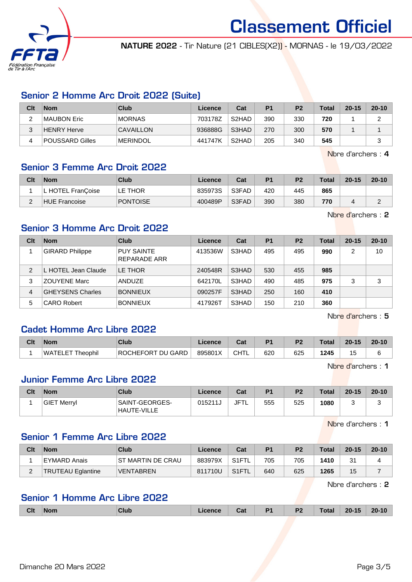

NATURE 2022 - Tir Nature (21 CIBLES(X2)) - MORNAS - le 19/03/2022

# Senior 2 Homme Arc Droit 2022 (Suite)

| Clt | <b>Nom</b>      | Club             | Licence | Cat                | P <sub>1</sub> | P <sub>2</sub> | Total | $20 - 15$ | $20 - 10$ |
|-----|-----------------|------------------|---------|--------------------|----------------|----------------|-------|-----------|-----------|
|     | ∣MAUBON Eric    | <b>MORNAS</b>    | 703178Z | S <sub>2</sub> HAD | 390            | 330            | 720   |           |           |
| 2   | HENRY Herve     | <b>CAVAILLON</b> | 936888G | S3HAD              | 270            | 300            | 570   |           |           |
| Δ   | POUSSARD Gilles | <b>MERINDOL</b>  | 441747K | S <sub>2</sub> HAD | 205            | 340            | 545   |           |           |

Nbre d'archers : 4

### Senior 3 Femme Arc Droit 2022

| Clt | <b>Nom</b>        | Club            | Licence | Cat   | P <sub>1</sub> | P <sub>2</sub> | Total | $20 - 15$ | $20 - 10$ |
|-----|-------------------|-----------------|---------|-------|----------------|----------------|-------|-----------|-----------|
|     | L HOTEL FranCoise | LE THOR         | 835973S | S3FAD | 420            | 445            | 865   |           |           |
|     | HUE Francoise     | <b>PONTOISE</b> | 400489P | S3FAD | 390            | 380            | 770   |           |           |

Nbre d'archers : 2

## Senior 3 Homme Arc Droit 2022

| Clt            | <b>Nom</b>              | Club                                     | Licence | Cat   | <b>P1</b> | P <sub>2</sub> | <b>Total</b> | $20 - 15$ | $20 - 10$ |
|----------------|-------------------------|------------------------------------------|---------|-------|-----------|----------------|--------------|-----------|-----------|
|                | <b>GIRARD Philippe</b>  | <b>PUY SAINTE</b><br><b>REPARADE ARR</b> | 413536W | S3HAD | 495       | 495            | 990          | 2         | 10        |
| $\mathfrak{p}$ | L HOTEL Jean Claude     | LE THOR                                  | 240548R | S3HAD | 530       | 455            | 985          |           |           |
| 3              | <b>ZOUYENE Marc</b>     | ANDUZE                                   | 642170L | S3HAD | 490       | 485            | 975          | 3         | 3         |
| 4              | <b>GHEYSENS Charles</b> | <b>BONNIEUX</b>                          | 090257F | S3HAD | 250       | 160            | 410          |           |           |
| 5              | <b>CARO Robert</b>      | <b>BONNIEUX</b>                          | 417926T | S3HAD | 150       | 210            | 360          |           |           |

Nbre d'archers : 5

# Cadet Homme Arc Libre 2022

| Clt | <b>Nom</b>                  | Club              | <b>Licence</b> | ◠∼<br>val | D <sub>1</sub> | P <sub>2</sub> | Total | $20 - 15$ | $20 - 10$ |
|-----|-----------------------------|-------------------|----------------|-----------|----------------|----------------|-------|-----------|-----------|
|     | <b>IWATELET</b><br>Theophil | ROCHEFORT DU GARD | 895801X        | CHTL      | 620            | 625            | 1245  | ິ         |           |

Nbre d'archers : 1

#### Junior Femme Arc Libre 2022

| Clt | <b>Nom</b>         | Club                                 | Licence | Cat         | P <sub>1</sub> | P <sub>2</sub> | <b>Total</b> | $20 - 15$ | $20 - 10$ |
|-----|--------------------|--------------------------------------|---------|-------------|----------------|----------------|--------------|-----------|-----------|
|     | <b>GIET Merryl</b> | SAINT-GEORGES-<br><b>HAUTE-VILLE</b> | 015211ง | <b>JFTL</b> | 555            | 525            | 1080         |           | ◡         |

Nbre d'archers : 1

# Senior 1 Femme Arc Libre 2022

| Clt | <b>Nom</b>        | Club               | ∟icence⊬ | Cat                | P <sub>1</sub> | P <sub>2</sub> | $\tau$ otal | $20 - 15$ | $20 - 10$ |
|-----|-------------------|--------------------|----------|--------------------|----------------|----------------|-------------|-----------|-----------|
|     | EYMARD Anais      | IST MARTIN DE CRAU | 883979X  | S <sub>1</sub> FTL | 705            | 705            | 1410        | 31<br>ັ   |           |
| -   | TRUTEAU Eglantine | <b>VENTABREN</b>   | 811710U  | S1FTL S            | 640            | 625            | 1265        | 15        |           |

Nbre d'archers : 2

## Senior 1 Homme Arc Libre 2022

|  | <b>CIt</b> | <b>Nom</b><br>------ | "lub | anc | Cat | D <sub>4</sub> | P <sub>2</sub> |  | 4E | $20 - 10$ |
|--|------------|----------------------|------|-----|-----|----------------|----------------|--|----|-----------|
|--|------------|----------------------|------|-----|-----|----------------|----------------|--|----|-----------|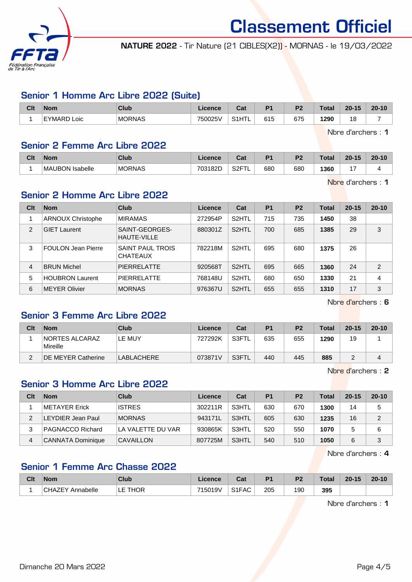

NATURE 2022 - Tir Nature (21 CIBLES(X2)) - MORNAS - le 19/03/2022

### Senior 1 Homme Arc Libre 2022 (Suite)

| Clt | <b>Nom</b>                 | Club          | Licence | Cat   | D <sub>4</sub> | ng. | Total         | $20 - 15$ | $20 - 10$ |
|-----|----------------------------|---------------|---------|-------|----------------|-----|---------------|-----------|-----------|
|     | EYMARD<br>LOIC<br><u>.</u> | <b>MORNAS</b> | 750025\ | S1HTL | 615            | 675 | 1290<br>$  -$ | 18        |           |

Nbre d'archers : 1

#### Senior 2 Femme Arc Libre 2022

| Clt | Nom                              | Club          | icence  | יפי<br>va.      | D <sub>4</sub> | D <sub>2</sub> | Total | $20 - 15$ | $20 - 10$ |
|-----|----------------------------------|---------------|---------|-----------------|----------------|----------------|-------|-----------|-----------|
|     | <b>Isabelle</b><br><b>MAUBON</b> | <b>MORNAS</b> | 703182D | ੦੭⊏⊤<br>ےت<br>- | 680            | 680            | 1360  |           |           |

Nbre d'archers : 1

# Senior 2 Homme Arc Libre 2022

| Clt | <b>Nom</b>                | Club                                 | Licence | Cat                | P <sub>1</sub> | P <sub>2</sub> | <b>Total</b> | $20 - 15$ | $20 - 10$      |
|-----|---------------------------|--------------------------------------|---------|--------------------|----------------|----------------|--------------|-----------|----------------|
|     | <b>ARNOUX Christophe</b>  | <b>MIRAMAS</b>                       | 272954P | S <sub>2</sub> HTL | 715            | 735            | 1450         | 38        |                |
| 2   | <b>GIET Laurent</b>       | SAINT-GEORGES-<br><b>HAUTE-VILLE</b> | 880301Z | S <sub>2</sub> HTL | 700            | 685            | 1385         | 29        | 3              |
| 3   | <b>FOULON Jean Pierre</b> | SAINT PAUL TROIS<br><b>CHATEAUX</b>  | 782218M | S <sub>2</sub> HTL | 695            | 680            | 1375         | 26        |                |
| 4   | <b>BRUN Michel</b>        | <b>PIERRELATTE</b>                   | 920568T | S <sub>2</sub> HTL | 695            | 665            | 1360         | 24        | $\overline{2}$ |
| 5   | <b>HOUBRON Laurent</b>    | <b>PIERRELATTE</b>                   | 768148U | S <sub>2</sub> HTL | 680            | 650            | 1330         | 21        | 4              |
| 6   | MEYER Olivier             | <b>MORNAS</b>                        | 976367U | S <sub>2</sub> HTL | 655            | 655            | 1310         | 17        | 3              |

Nbre d'archers : 6

# Senior 3 Femme Arc Libre 2022

| Clt | <b>Nom</b>                 | Club              | Licence | Cat     | P <sub>1</sub> | P <sub>2</sub> | Total | $20 - 15$ | $20 - 10$ |
|-----|----------------------------|-------------------|---------|---------|----------------|----------------|-------|-----------|-----------|
|     | NORTES ALCARAZ<br>Mireille | LE MUY            | 727292K | ์ S3FTL | 635            | 655            | 1290  | 19        |           |
|     | <b>DE MEYER Catherine</b>  | <b>LABLACHERE</b> | 073871V | S3FTL   | 440            | 445            | 885   | -         |           |

Nbre d'archers : 2

# Senior 3 Homme Arc Libre 2022

| Clt | <b>Nom</b>              | Club              | Licence | Cat   | P <sub>1</sub> | P <sub>2</sub> | <b>Total</b> | $20 - 15$ | $20 - 10$ |
|-----|-------------------------|-------------------|---------|-------|----------------|----------------|--------------|-----------|-----------|
|     | METAYER Erick           | <b>ISTRES</b>     | 302211R | S3HTL | 630            | 670            | 1300         | 14        | 5         |
|     | LEYDIER Jean Paul       | <b>MORNAS</b>     | 943171L | S3HTL | 605            | 630            | 1235         | 16        | 2         |
|     | <b>PAGNACCO Richard</b> | LA VALETTE DU VAR | 930865K | S3HTL | 520            | 550            | 1070         |           | 6         |
| 4   | CANNATA Dominique       | CAVAILLON         | 807725M | S3HTL | 540            | 510            | 1050         | 6         | 3         |

Nbre d'archers : 4

# Senior 1 Femme Arc Chasse 2022

| Clt | <b>Nom</b>                                  | Club                  | .icence | Cat   | D4  | n.         | Total | $20 - 15$ | $20 - 10$ |
|-----|---------------------------------------------|-----------------------|---------|-------|-----|------------|-------|-----------|-----------|
|     | $^{\circ}$ $^{\circ}$ 44.<br>Annabelle<br>ັ | <b>HOR</b><br>-<br>-- | 715019V | S1FAC | 205 | 190<br>- - | 395   |           |           |

Nbre d'archers : 1